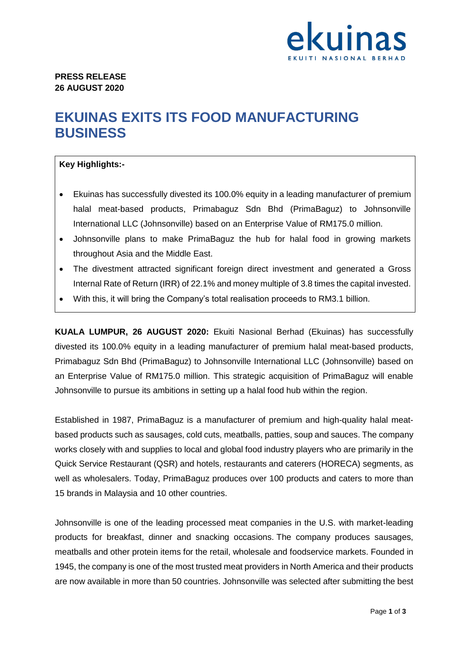

## **EKUINAS EXITS ITS FOOD MANUFACTURING BUSINESS**

## **Key Highlights:-**

- Ekuinas has successfully divested its 100.0% equity in a leading manufacturer of premium halal meat-based products, Primabaguz Sdn Bhd (PrimaBaguz) to Johnsonville International LLC (Johnsonville) based on an Enterprise Value of RM175.0 million.
- Johnsonville plans to make PrimaBaguz the hub for halal food in growing markets throughout Asia and the Middle East.
- The divestment attracted significant foreign direct investment and generated a Gross Internal Rate of Return (IRR) of 22.1% and money multiple of 3.8 times the capital invested.
- With this, it will bring the Company's total realisation proceeds to RM3.1 billion.

**KUALA LUMPUR, 26 AUGUST 2020:** Ekuiti Nasional Berhad (Ekuinas) has successfully divested its 100.0% equity in a leading manufacturer of premium halal meat-based products, Primabaguz Sdn Bhd (PrimaBaguz) to Johnsonville International LLC (Johnsonville) based on an Enterprise Value of RM175.0 million. This strategic acquisition of PrimaBaguz will enable Johnsonville to pursue its ambitions in setting up a halal food hub within the region.

Established in 1987, PrimaBaguz is a manufacturer of premium and high-quality halal meatbased products such as sausages, cold cuts, meatballs, patties, soup and sauces. The company works closely with and supplies to local and global food industry players who are primarily in the Quick Service Restaurant (QSR) and hotels, restaurants and caterers (HORECA) segments, as well as wholesalers. Today, PrimaBaguz produces over 100 products and caters to more than 15 brands in Malaysia and 10 other countries.

Johnsonville is one of the leading processed meat companies in the U.S. with market-leading products for breakfast, dinner and snacking occasions. The company produces sausages, meatballs and other protein items for the retail, wholesale and foodservice markets. Founded in 1945, the company is one of the most trusted meat providers in North America and their products are now available in more than 50 countries. Johnsonville was selected after submitting the best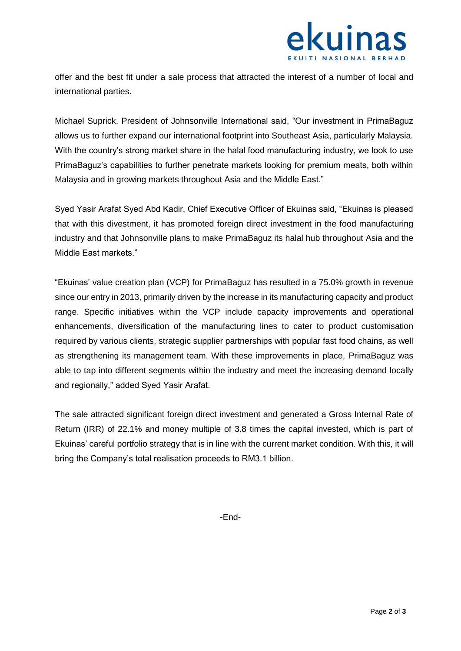

offer and the best fit under a sale process that attracted the interest of a number of local and international parties.

Michael Suprick, President of Johnsonville International said, "Our investment in PrimaBaguz allows us to further expand our international footprint into Southeast Asia, particularly Malaysia. With the country's strong market share in the halal food manufacturing industry, we look to use PrimaBaguz's capabilities to further penetrate markets looking for premium meats, both within Malaysia and in growing markets throughout Asia and the Middle East."

Syed Yasir Arafat Syed Abd Kadir, Chief Executive Officer of Ekuinas said, "Ekuinas is pleased that with this divestment, it has promoted foreign direct investment in the food manufacturing industry and that Johnsonville plans to make PrimaBaguz its halal hub throughout Asia and the Middle East markets."

"Ekuinas' value creation plan (VCP) for PrimaBaguz has resulted in a 75.0% growth in revenue since our entry in 2013, primarily driven by the increase in its manufacturing capacity and product range. Specific initiatives within the VCP include capacity improvements and operational enhancements, diversification of the manufacturing lines to cater to product customisation required by various clients, strategic supplier partnerships with popular fast food chains, as well as strengthening its management team. With these improvements in place, PrimaBaguz was able to tap into different segments within the industry and meet the increasing demand locally and regionally," added Syed Yasir Arafat.

The sale attracted significant foreign direct investment and generated a Gross Internal Rate of Return (IRR) of 22.1% and money multiple of 3.8 times the capital invested, which is part of Ekuinas' careful portfolio strategy that is in line with the current market condition. With this, it will bring the Company's total realisation proceeds to RM3.1 billion.

-End-